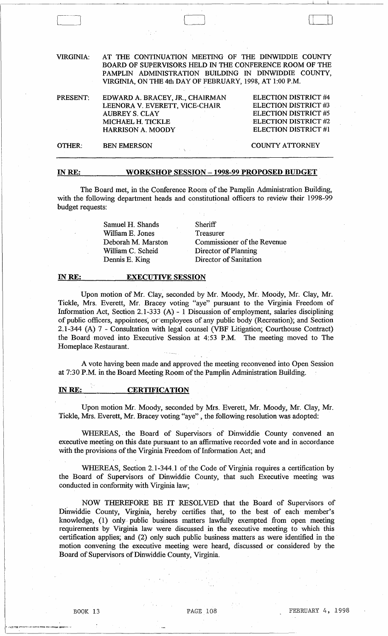| <b>VIRGINIA:</b> | AT THE CONTINUATION MEETING OF THE DINWIDDIE COUNTY<br>BOARD OF SUPERVISORS HELD IN THE CONFERENCE ROOM OF THE<br>PAMPLIN ADMINISTRATION BUILDING IN DINWIDDIE COUNTY,<br>VIRGINIA, ON THE 4th DAY OF FEBRUARY, 1998, AT 1:00 P.M. |                                                                                                                                                  |
|------------------|------------------------------------------------------------------------------------------------------------------------------------------------------------------------------------------------------------------------------------|--------------------------------------------------------------------------------------------------------------------------------------------------|
| PRESENT:         | EDWARD A. BRACEY, JR., CHAIRMAN<br>LEENORA V. EVERETT, VICE-CHAIR<br><b>AUBREY S. CLAY</b><br>MICHAEL H. TICKLE<br><b>HARRISON A. MOODY</b>                                                                                        | <b>ELECTION DISTRICT #4</b><br><b>ELECTION DISTRICT #3</b><br><b>ELECTION DISTRICT #5</b><br><b>ELECTION DISTRICT #2</b><br>ELECTION DISTRICT #1 |
| OTHER:           | <b>BEN EMERSON</b>                                                                                                                                                                                                                 | <b>COUNTY ATTORNEY</b>                                                                                                                           |
|                  |                                                                                                                                                                                                                                    |                                                                                                                                                  |

## INRE: WORKSHOP SESSION - 1998-99 PROPOSED BUDGET

The Board met, in the Conference Room of the Pamplin Administration Building, with the following department heads and constitutional officers to review their 1998-99 budget requests:

> Samuel H. Shands William E. Jones Deborah M. Marston William C. Scheid Dennis E. King

**Sheriff** Treasurer Commissioner of the Revenue Director of Planning Director of Sanitation

## IN RE: EXECUTIVE SESSION

Upon motion of Mr. Clay, seconded by Mr. Moody, Mr. Moody, Mr. Clay, Mr. Tickle, Mrs. Everett, Mr. Bracey voting "aye" pursuant to the Virginia Freedom of Information Act, Section 2.1-333 (A) - 1 Discussion of employment, salaries disciplining of public officers, appointees, or employees of any public body (Recreation); and Section 2.1-344 (A) 7 - Consultation with legal counsel (VBF Litigation; Courthouse Contract) the Board moved into Executive Session at 4:53 P.M. The meeting moved to The Homeplace Restaurant.

A vote having been made and approved the meeting reconvened into Open Session at 7:30 P.M. in the Board Meeting Room of the Pamplin Administration Building.

## IN RE: CERTIFICATION

Upon motion Mr. Moody, seconded by Mrs. Everett, Mr. Moody, Mr. Clay, Mr. Tickle, Mrs. Everett, Mr. Bracey voting "aye", the following resolution was adopted:

WHEREAS, the Board of Supervisors of Dinwiddie County convened an executive meeting on this date pursuant to an affirmative recorded vote and in accordance with the provisions of the Virginia Freedom of Information Act; and

WHEREAS, Section 2.1-344.1 of the Code of Virginia requires a certification by the Board of Supervisors of Dinwiddie County, that such Executive meeting was conducted in conformity with Virginia law;

NOW THEREFORE BE IT RESOLVED that the Board of Supervisors of Dinwiddie County, Virginia, hereby certifies that, to the best of each member's knowledge, (1) only public business matters lawfully exempted from open meeting requirements by Virginia law were discussed in the executive meeting to which this certification applies; and (2) only such public business matters as were identified in the motion convening the executive meeting were heard, discussed or considered by the Board of Supervisors of Dinwiddie County, Virginia.

 $\sqcup$